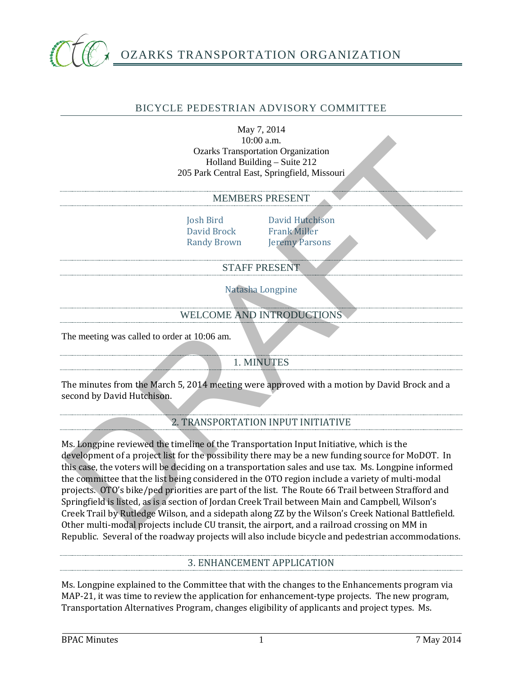

### BICYCLE PEDESTRIAN ADVISORY COMMITTEE

May 7, 2014 10:00 a.m. Ozarks Transportation Organization Holland Building – Suite 212 205 Park Central East, Springfield, Missouri

#### MEMBERS PRESENT

David Brock<br>Randy Brown

Josh Bird David Hutchison<br>David Brock Frank Miller **Jeremy Parsons** 

### STAFF PRESENT

Natasha Longpine

## WELCOME AND INTRODUCTIONS

The meeting was called to order at 10:06 am.

### 1. MINUTES

The minutes from the March 5, 2014 meeting were approved with a motion by David Brock and a second by David Hutchison.

2. TRANSPORTATION INPUT INITIATIVE

Ms. Longpine reviewed the timeline of the Transportation Input Initiative, which is the development of a project list for the possibility there may be a new funding source for MoDOT. In this case, the voters will be deciding on a transportation sales and use tax. Ms. Longpine informed the committee that the list being considered in the OTO region include a variety of multi-modal projects. OTO's bike/ped priorities are part of the list. The Route 66 Trail between Strafford and Springfield is listed, as is a section of Jordan Creek Trail between Main and Campbell, Wilson's Creek Trail by Rutledge Wilson, and a sidepath along ZZ by the Wilson's Creek National Battlefield. Other multi-modal projects include CU transit, the airport, and a railroad crossing on MM in Republic. Several of the roadway projects will also include bicycle and pedestrian accommodations. Foul and Building – Suite 212<br>
2015 Park Central Fast, Springfield, Missouri<br>
2015 Park Central Fast, Springfield, Missouri<br>
MEMBERS PRESENT<br>
Josh Brid<br>
David Brock<br>
David Brock<br>
Frank Miller<br>
Randy Frown<br>
21 David Brock<br>

### 3. ENHANCEMENT APPLICATION

Ms. Longpine explained to the Committee that with the changes to the Enhancements program via MAP-21, it was time to review the application for enhancement-type projects. The new program, Transportation Alternatives Program, changes eligibility of applicants and project types. Ms.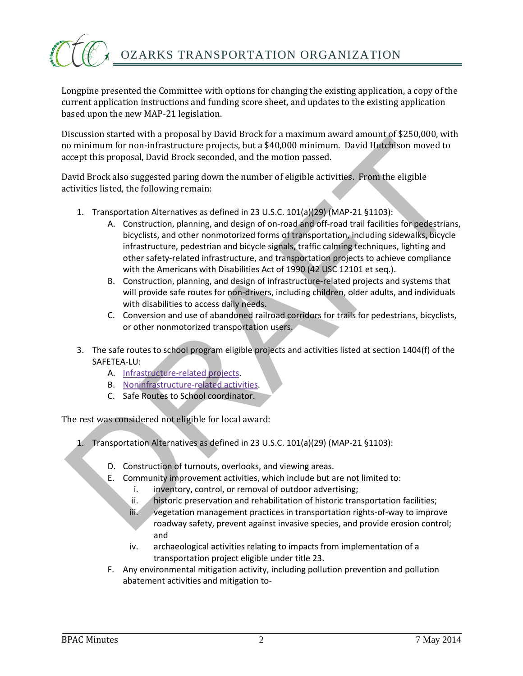

Longpine presented the Committee with options for changing the existing application, a copy of the current application instructions and funding score sheet, and updates to the existing application based upon the new MAP-21 legislation.

Discussion started with a proposal by David Brock for a maximum award amount of \$250,000, with no minimum for non-infrastructure projects, but a \$40,000 minimum. David Hutchison moved to accept this proposal, David Brock seconded, and the motion passed.

David Brock also suggested paring down the number of eligible activities. From the eligible activities listed, the following remain:

- 1. Transportation Alternatives as defined in 23 U.S.C. 101(a)(29) (MAP-21 §1103):
- A. Construction, planning, and design of on-road and off-road trail facilities for pedestrians, bicyclists, and other nonmotorized forms of transportation, including sidewalks, bicycle infrastructure, pedestrian and bicycle signals, traffic calming techniques, lighting and other safety-related infrastructure, and transportation projects to achieve compliance with the Americans with Disabilities Act of 1990 (42 USC 12101 et seq.). Aristophemon Control (19 metrical management particles)<br>
2. Transportation Alternative projects, but a \$40,000 minimum. David Hutchison moved to<br>
cocept this proposal, David Brock seconded, and the motion passed.<br>
2. Trans
	- B. Construction, planning, and design of infrastructure-related projects and systems that will provide safe routes for non-drivers, including children, older adults, and individuals with disabilities to access daily needs.
	- C. Conversion and use of abandoned railroad corridors for trails for pedestrians, bicyclists, or other nonmotorized transportation users.
	- 3. The safe routes to school program eligible projects and activities listed at section 1404(f) of the SAFETEA-LU:
		- A. Infrastructure-related projects.
		- B. Noninfrastructure-related activities.
		- C. Safe Routes to School coordinator.

The rest was considered not eligible for local award:

- 1. Transportation Alternatives as defined in 23 U.S.C. 101(a)(29) (MAP-21 §1103):
	- D. Construction of turnouts, overlooks, and viewing areas.
	- E. Community improvement activities, which include but are not limited to:
		- i. inventory, control, or removal of outdoor advertising;
		- ii. historic preservation and rehabilitation of historic transportation facilities;
		- iii. vegetation management practices in transportation rights-of-way to improve roadway safety, prevent against invasive species, and provide erosion control; and
		- iv. archaeological activities relating to impacts from implementation of a transportation project eligible under title 23.
	- F. Any environmental mitigation activity, including pollution prevention and pollution abatement activities and mitigation to-